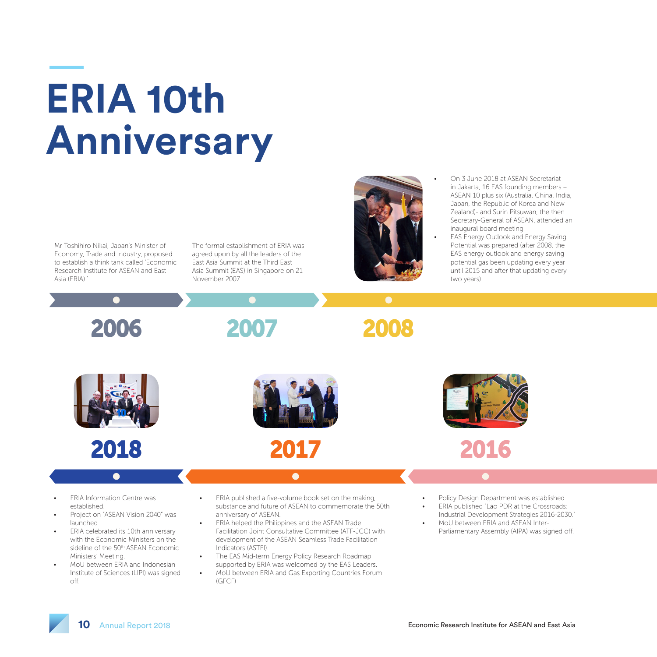## **ERIA 10th Anniversary**

Mr Toshihiro Nikai, Japan's Minister of Economy, Trade and Industry, proposed to establish a think tank called 'Economic Research Institute for ASEAN and East Asia (ERIA).

The formal establishment of ERIA was agreed upon by all the leaders of the East Asia Summit at the Third East Asia Summit (EAS) in Singapore on 21 November 2007.



- On 3 June 2018 at ASEAN Secretariat in Jakarta, 16 EAS founding members – ASEAN 10 plus six (Australia, China, India, Japan, the Republic of Korea and New Zealand)- and Surin Pitsuwan, the then Secretary-General of ASEAN, attended an inaugural board meeting.
- **EAS Energy Outlook and Energy Saving** Potential was prepared (after 2008, the EAS energy outlook and energy saving potential gas been updating every year until 2015 and after that updating every two years).

2006









 $\bullet$ 

**ERIA Information Centre was** established.

- Project on "ASEAN Vision 2040" was launched.
- ERIA celebrated its 10th anniversary with the Economic Ministers on the sideline of the 50<sup>th</sup> ASEAN Economic Ministers' Meeting.
- MoU between ERIA and Indonesian Institute of Sciences (LIPI) was signed off.
- ERIA published a five-volume book set on the making, substance and future of ASEAN to commemorate the 50th anniversary of ASEAN.

 $\bullet$ 

- **ERIA helped the Philippines and the ASEAN Trade** Facilitation Joint Consultative Committee (ATF-JCC) with development of the ASEAN Seamless Trade Facilitation Indicators (ASTFI).
- The EAS Mid-term Energy Policy Research Roadmap supported by ERIA was welcomed by the EAS Leaders.
- MoU between ERIA and Gas Exporting Countries Forum (GFCF)
- Policy Design Department was established.
- ERIA published "Lao PDR at the Crossroads: Industrial Development Strategies 2016-2030." • MoU between ERIA and ASEAN Inter-
- Parliamentary Assembly (AIPA) was signed off.

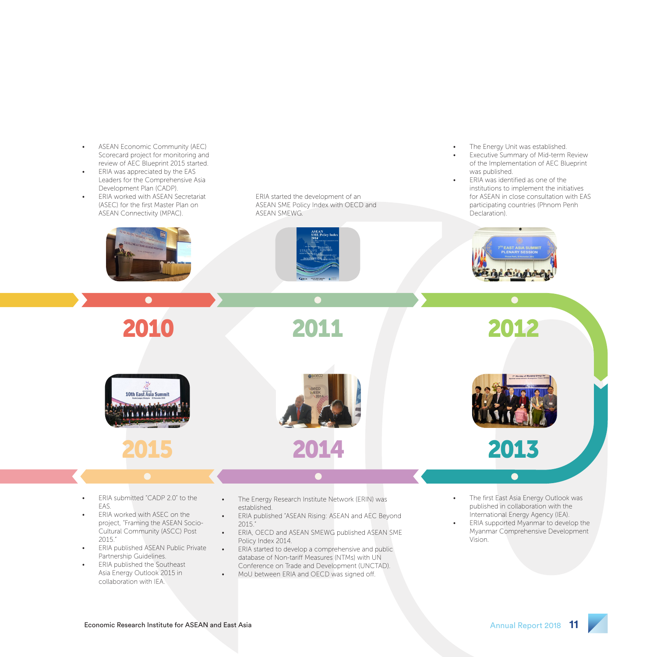- ASEAN Economic Community (AEC) Scorecard project for monitoring and review of AEC Blueprint 2015 started.
- ERIA was appreciated by the EAS Leaders for the Comprehensive Asia Development Plan (CADP).
- **ERIA worked with ASEAN Secretariat** (ASEC) for the first Master Plan on ASEAN Connectivity (MPAC).



ERIA started the development of an ASEAN SME Policy Index with OECD and ASEAN SMEWG.



2011

• The Energy Unit was established.

- **Executive Summary of Mid-term Review** of the Implementation of AEC Blueprint was published.
- ERIA was identified as one of the institutions to implement the initiatives for ASEAN in close consultation with EAS participating countries (Phnom Penh Declaration).









- ERIA submitted "CADP 2.0" to the EAS.
- ERIA worked with ASEC on the project, "Framing the ASEAN Socio-Cultural Community (ASCC) Post 2015."
- ERIA published ASEAN Public Private Partnership Guidelines.
- ERIA published the Southeast Asia Energy Outlook 2015 in collaboration with IEA.
- The Energy Research Institute Network (ERIN) was established.
- ERIA published "ASEAN Rising: ASEAN and AEC Beyond 2015."
- ERIA, OECD and ASEAN SMEWG published ASEAN SME Policy Index 2014.
- ERIA started to develop a comprehensive and public database of Non-tariff Measures (NTMs) with UN Conference on Trade and Development (UNCTAD).
- MoU between ERIA and OECD was signed off.

The first East Asia Energy Outlook was published in collaboration with the International Energy Agency (IEA).

 $\bullet$ 

• ERIA supported Myanmar to develop the Myanmar Comprehensive Development Vision.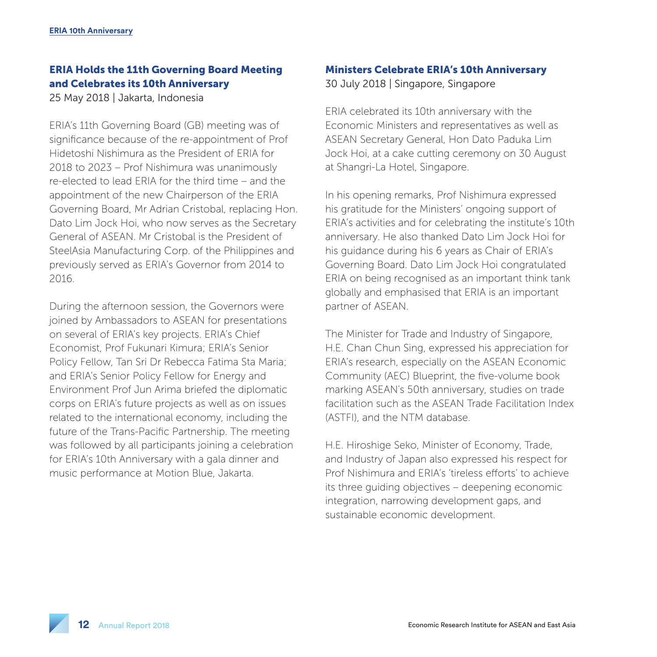## ERIA Holds the 11th Governing Board Meeting and Celebrates its 10th Anniversary

25 May 2018 | Jakarta, Indonesia

ERIA's 11th Governing Board (GB) meeting was of significance because of the re-appointment of Prof Hidetoshi Nishimura as the President of ERIA for 2018 to 2023 – Prof Nishimura was unanimously re-elected to lead ERIA for the third time – and the appointment of the new Chairperson of the ERIA Governing Board, Mr Adrian Cristobal, replacing Hon. Dato Lim Jock Hoi, who now serves as the Secretary General of ASEAN. Mr Cristobal is the President of SteelAsia Manufacturing Corp. of the Philippines and previously served as ERIA's Governor from 2014 to 2016.

During the afternoon session, the Governors were joined by Ambassadors to ASEAN for presentations on several of ERIA's key projects. ERIA's Chief Economist, Prof Fukunari Kimura; ERIA's Senior Policy Fellow, Tan Sri Dr Rebecca Fatima Sta Maria; and ERIA's Senior Policy Fellow for Energy and Environment Prof Jun Arima briefed the diplomatic corps on ERIA's future projects as well as on issues related to the international economy, including the future of the Trans-Pacific Partnership. The meeting was followed by all participants joining a celebration for ERIA's 10th Anniversary with a gala dinner and music performance at Motion Blue, Jakarta.

## Ministers Celebrate ERIA's 10th Anniversary

30 July 2018 | Singapore, Singapore

ERIA celebrated its 10th anniversary with the Economic Ministers and representatives as well as ASEAN Secretary General, Hon Dato Paduka Lim Jock Hoi, at a cake cutting ceremony on 30 August at Shangri-La Hotel, Singapore.

In his opening remarks, Prof Nishimura expressed his gratitude for the Ministers' ongoing support of ERIA's activities and for celebrating the institute's 10th anniversary. He also thanked Dato Lim Jock Hoi for his guidance during his 6 years as Chair of ERIA's Governing Board. Dato Lim Jock Hoi congratulated ERIA on being recognised as an important think tank globally and emphasised that ERIA is an important partner of ASEAN.

The Minister for Trade and Industry of Singapore, H.E. Chan Chun Sing, expressed his appreciation for ERIA's research, especially on the ASEAN Economic Community (AEC) Blueprint, the five-volume book marking ASEAN's 50th anniversary, studies on trade facilitation such as the ASEAN Trade Facilitation Index (ASTFI), and the NTM database.

H.E. Hiroshige Seko, Minister of Economy, Trade, and Industry of Japan also expressed his respect for Prof Nishimura and ERIA's 'tireless efforts' to achieve its three guiding objectives – deepening economic integration, narrowing development gaps, and sustainable economic development.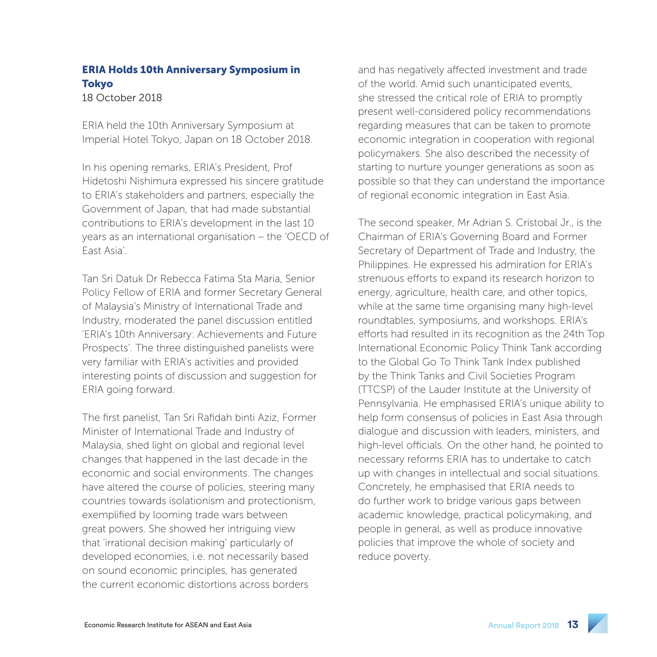## ERIA Holds 10th Anniversary Symposium in Tokyo

18 October 2018

ERIA held the 10th Anniversary Symposium at Imperial Hotel Tokyo, Japan on 18 October 2018.

In his opening remarks, ERIA's President, Prof Hidetoshi Nishimura expressed his sincere gratitude to ERIA's stakeholders and partners, especially the Government of Japan, that had made substantial contributions to ERIA's development in the last 10 years as an international organisation – the 'OECD of East Asia'.

Tan Sri Datuk Dr Rebecca Fatima Sta Maria, Senior Policy Fellow of ERIA and former Secretary General of Malaysia's Ministry of International Trade and Industry, moderated the panel discussion entitled 'ERIA's 10th Anniversary: Achievements and Future Prospects'. The three distinguished panelists were very familiar with ERIA's activities and provided interesting points of discussion and suggestion for ERIA going forward.

The first panelist, Tan Sri Rafidah binti Aziz, Former Minister of International Trade and Industry of Malaysia, shed light on global and regional level changes that happened in the last decade in the economic and social environments. The changes have altered the course of policies, steering many countries towards isolationism and protectionism, exemplified by looming trade wars between great powers. She showed her intriguing view that 'irrational decision making' particularly of developed economies, i.e. not necessarily based on sound economic principles, has generated the current economic distortions across borders

and has negatively affected investment and trade of the world. Amid such unanticipated events, she stressed the critical role of ERIA to promptly present well-considered policy recommendations regarding measures that can be taken to promote economic integration in cooperation with regional policymakers. She also described the necessity of starting to nurture younger generations as soon as possible so that they can understand the importance of regional economic integration in East Asia.

The second speaker, Mr Adrian S. Cristobal Jr., is the Chairman of ERIA's Governing Board and Former Secretary of Department of Trade and Industry, the Philippines. He expressed his admiration for ERIA's strenuous efforts to expand its research horizon to energy, agriculture, health care, and other topics, while at the same time organising many high-level roundtables, symposiums, and workshops. ERIA's efforts had resulted in its recognition as the 24th Top International Economic Policy Think Tank according to the Global Go To Think Tank Index published by the Think Tanks and Civil Societies Program (TTCSP) of the Lauder Institute at the University of Pennsylvania. He emphasised ERIA's unique ability to help form consensus of policies in East Asia through dialogue and discussion with leaders, ministers, and high-level officials. On the other hand, he pointed to necessary reforms ERIA has to undertake to catch up with changes in intellectual and social situations. Concretely, he emphasised that ERIA needs to do further work to bridge various gaps between academic knowledge, practical policymaking, and people in general, as well as produce innovative policies that improve the whole of society and reduce poverty.